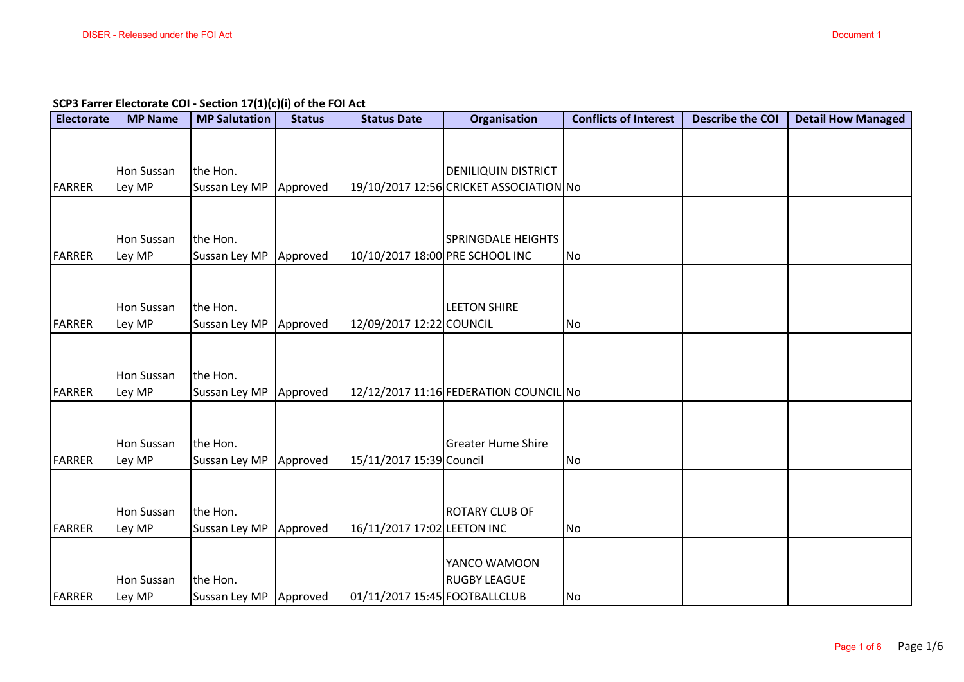**SCP3 Farrer Electorate COI - Section 17(1)(c)(i) of the FOI Act**

| <b>Electorate</b> | <b>MP Name</b>              | <b>MP Salutation</b>      | <b>Status</b> | <b>Status Date</b>              | Organisation                            | <b>Conflicts of Interest</b> | <b>Describe the COI</b> | <b>Detail How Managed</b> |
|-------------------|-----------------------------|---------------------------|---------------|---------------------------------|-----------------------------------------|------------------------------|-------------------------|---------------------------|
|                   |                             |                           |               |                                 |                                         |                              |                         |                           |
|                   | Hon Sussan                  | the Hon.                  |               |                                 | <b>DENILIQUIN DISTRICT</b>              |                              |                         |                           |
| <b>FARRER</b>     | Ley MP                      | Sussan Ley MP             | Approved      |                                 | 19/10/2017 12:56 CRICKET ASSOCIATION No |                              |                         |                           |
|                   |                             |                           |               |                                 |                                         |                              |                         |                           |
|                   | Hon Sussan                  | the Hon.                  |               |                                 | <b>SPRINGDALE HEIGHTS</b>               |                              |                         |                           |
| <b>FARRER</b>     | Ley MP                      | Sussan Ley MP             | Approved      | 10/10/2017 18:00 PRE SCHOOL INC |                                         | No                           |                         |                           |
|                   |                             |                           |               |                                 |                                         |                              |                         |                           |
|                   | Hon Sussan                  | the Hon.                  |               |                                 | <b>LEETON SHIRE</b>                     |                              |                         |                           |
| <b>FARRER</b>     | Ley MP                      | Sussan Ley MP             | Approved      | 12/09/2017 12:22 COUNCIL        |                                         | No                           |                         |                           |
|                   |                             |                           |               |                                 |                                         |                              |                         |                           |
|                   |                             |                           |               |                                 |                                         |                              |                         |                           |
| <b>FARRER</b>     | Hon Sussan<br>Ley MP        | the Hon.<br>Sussan Ley MP | Approved      |                                 | 12/12/2017 11:16 FEDERATION COUNCIL No  |                              |                         |                           |
|                   |                             |                           |               |                                 |                                         |                              |                         |                           |
|                   |                             |                           |               |                                 |                                         |                              |                         |                           |
| <b>FARRER</b>     | Hon Sussan<br>Ley MP        | the Hon.<br>Sussan Ley MP | Approved      | 15/11/2017 15:39 Council        | <b>Greater Hume Shire</b>               | <b>No</b>                    |                         |                           |
|                   |                             |                           |               |                                 |                                         |                              |                         |                           |
|                   |                             |                           |               |                                 |                                         |                              |                         |                           |
| <b>FARRER</b>     | <b>Hon Sussan</b><br>Ley MP | the Hon.<br>Sussan Ley MP | Approved      | 16/11/2017 17:02 LEETON INC     | <b>ROTARY CLUB OF</b>                   | No                           |                         |                           |
|                   |                             |                           |               |                                 |                                         |                              |                         |                           |
|                   |                             |                           |               |                                 | YANCO WAMOON                            |                              |                         |                           |
| <b>FARRER</b>     | <b>Hon Sussan</b><br>Ley MP | the Hon.<br>Sussan Ley MP | Approved      | 01/11/2017 15:45 FOOTBALLCLUB   | <b>RUGBY LEAGUE</b>                     | No                           |                         |                           |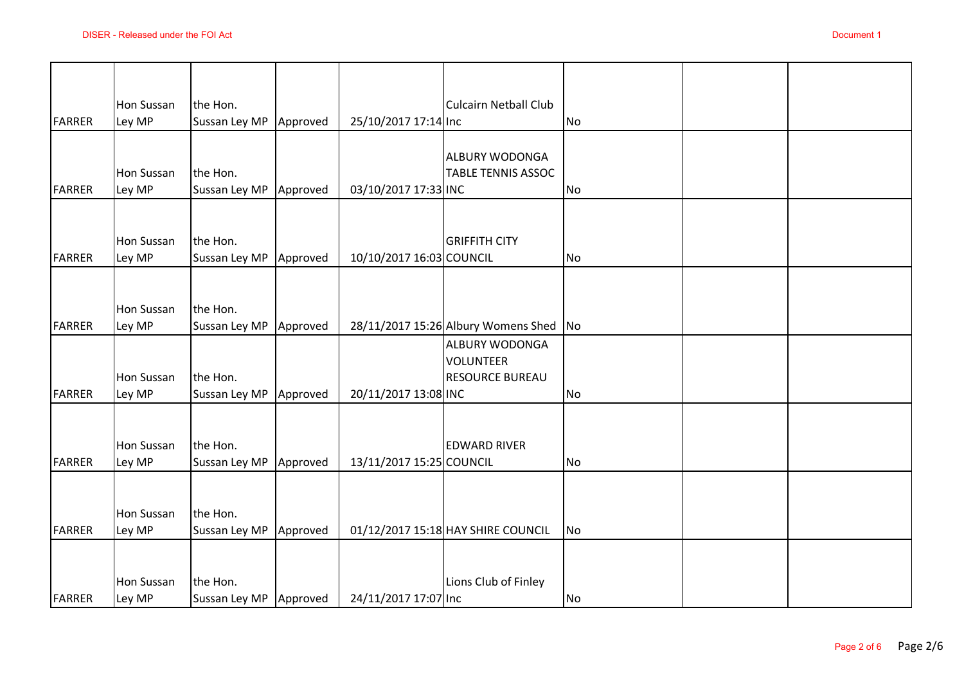|               | DISER - Released under the FOI Act |                                      |          |                          |                                                                     |                | Document 1 |
|---------------|------------------------------------|--------------------------------------|----------|--------------------------|---------------------------------------------------------------------|----------------|------------|
| FARRER        | Hon Sussan<br>Ley MP               | the Hon.<br>Sussan Ley MP            | Approved | 25/10/2017 17:14 Inc     | <b>Culcairn Netball Club</b>                                        | No             |            |
| <b>FARRER</b> | <b>Hon Sussan</b><br>Ley MP        | the Hon.<br>Sussan Ley MP            | Approved | 03/10/2017 17:33 INC     | <b>ALBURY WODONGA</b><br><b>TABLE TENNIS ASSOC</b>                  | <b>No</b>      |            |
| <b>FARRER</b> | <b>Hon Sussan</b><br>Ley MP        | the Hon.<br>Sussan Ley MP            | Approved | 10/10/2017 16:03 COUNCIL | <b>GRIFFITH CITY</b>                                                | <b>No</b>      |            |
| FARRER        | <b>Hon Sussan</b><br>Ley MP        | the Hon.<br>Sussan Ley MP            | Approved |                          | 28/11/2017 15:26 Albury Womens Shed                                 | N <sub>o</sub> |            |
| FARRER        | Hon Sussan<br>Ley MP               | the Hon.<br>Sussan Ley MP            | Approved | 20/11/2017 13:08 INC     | <b>ALBURY WODONGA</b><br><b>VOLUNTEER</b><br><b>RESOURCE BUREAU</b> | <b>No</b>      |            |
| <b>FARRER</b> | Hon Sussan<br>Ley MP               | the Hon.<br>Sussan Ley MP            | Approved | 13/11/2017 15:25 COUNCIL | <b>EDWARD RIVER</b>                                                 | <b>No</b>      |            |
| <b>FARRER</b> | Hon Sussan<br>Ley MP               | the Hon.<br>Sussan Ley MP            | Approved |                          | 01/12/2017 15:18 HAY SHIRE COUNCIL                                  | <b>No</b>      |            |
| <b>FARRER</b> | <b>Hon Sussan</b><br>Ley MP        | the Hon.<br>Sussan Ley MP   Approved |          | 24/11/2017 17:07 Inc     | Lions Club of Finley                                                | No             |            |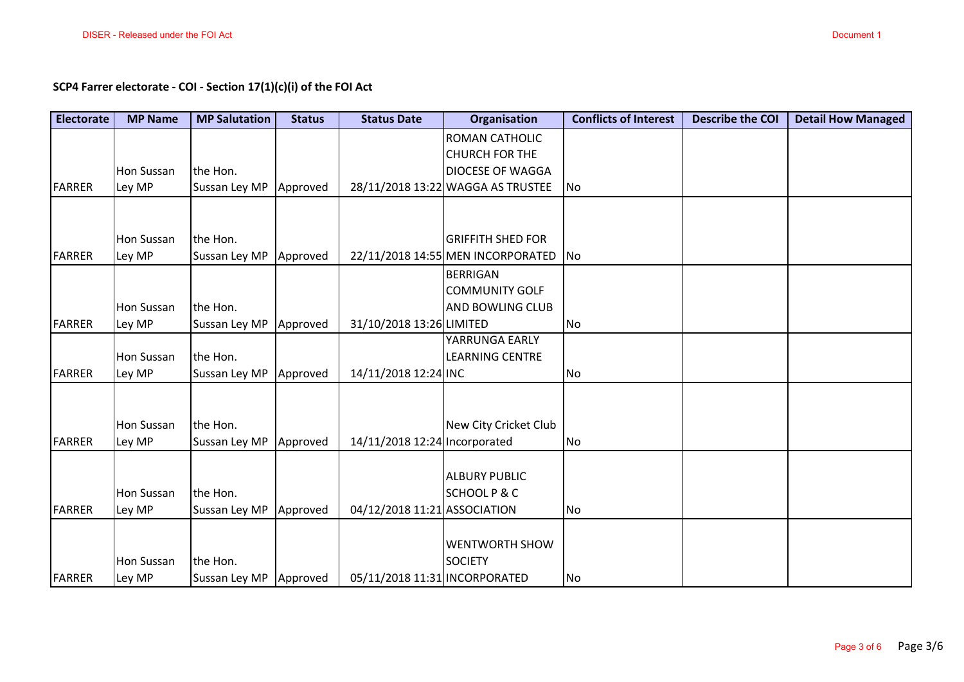| <b>Electorate</b> | <b>MP Name</b>       | <b>MP Salutation</b>      | <b>Status</b> | <b>Status Date</b>            | <b>Organisation</b>                                              | <b>Conflicts of Interest</b> | <b>Describe the COI</b> | <b>Detail How Managed</b> |
|-------------------|----------------------|---------------------------|---------------|-------------------------------|------------------------------------------------------------------|------------------------------|-------------------------|---------------------------|
|                   |                      |                           |               |                               | <b>ROMAN CATHOLIC</b>                                            |                              |                         |                           |
|                   |                      |                           |               |                               | <b>CHURCH FOR THE</b>                                            |                              |                         |                           |
|                   | <b>Hon Sussan</b>    | the Hon.                  |               |                               | <b>DIOCESE OF WAGGA</b>                                          |                              |                         |                           |
| <b>FARRER</b>     | Ley MP               | Sussan Ley MP             | Approved      |                               | 28/11/2018 13:22 WAGGA AS TRUSTEE                                | No                           |                         |                           |
|                   |                      |                           |               |                               |                                                                  |                              |                         |                           |
| <b>FARRER</b>     | Hon Sussan<br>Ley MP | the Hon.<br>Sussan Ley MP | Approved      |                               | <b>GRIFFITH SHED FOR</b><br>22/11/2018 14:55 MEN INCORPORATED No |                              |                         |                           |
|                   |                      |                           |               |                               |                                                                  |                              |                         |                           |
|                   |                      |                           |               |                               | <b>BERRIGAN</b><br><b>COMMUNITY GOLF</b>                         |                              |                         |                           |
|                   | Hon Sussan           | the Hon.                  |               |                               | <b>AND BOWLING CLUB</b>                                          |                              |                         |                           |
| <b>FARRER</b>     | Ley MP               | Sussan Ley MP             | Approved      | 31/10/2018 13:26 LIMITED      |                                                                  | <b>No</b>                    |                         |                           |
|                   |                      |                           |               |                               | YARRUNGA EARLY                                                   |                              |                         |                           |
|                   | <b>Hon Sussan</b>    | the Hon.                  |               |                               | <b>LEARNING CENTRE</b>                                           |                              |                         |                           |
| <b>FARRER</b>     | Ley MP               | Sussan Ley MP             | Approved      | 14/11/2018 12:24 INC          |                                                                  | No                           |                         |                           |
|                   |                      |                           |               |                               |                                                                  |                              |                         |                           |
|                   | Hon Sussan           | the Hon.                  |               |                               | New City Cricket Club                                            |                              |                         |                           |
| <b>FARRER</b>     | Ley MP               | Sussan Ley MP             | Approved      | 14/11/2018 12:24 Incorporated |                                                                  | No                           |                         |                           |
|                   |                      |                           |               |                               |                                                                  |                              |                         |                           |
|                   |                      |                           |               |                               | <b>ALBURY PUBLIC</b>                                             |                              |                         |                           |
|                   | Hon Sussan           | the Hon.                  |               |                               | <b>SCHOOLP&amp;C</b>                                             |                              |                         |                           |
| <b>FARRER</b>     | Ley MP               | Sussan Ley MP             | Approved      | 04/12/2018 11:21 ASSOCIATION  |                                                                  | No                           |                         |                           |
|                   |                      |                           |               |                               | <b>WENTWORTH SHOW</b>                                            |                              |                         |                           |
|                   | Hon Sussan           | the Hon.                  |               |                               | <b>SOCIETY</b>                                                   |                              |                         |                           |
| <b>FARRER</b>     | Ley MP               | Sussan Ley MP Approved    |               | 05/11/2018 11:31 INCORPORATED |                                                                  | No                           |                         |                           |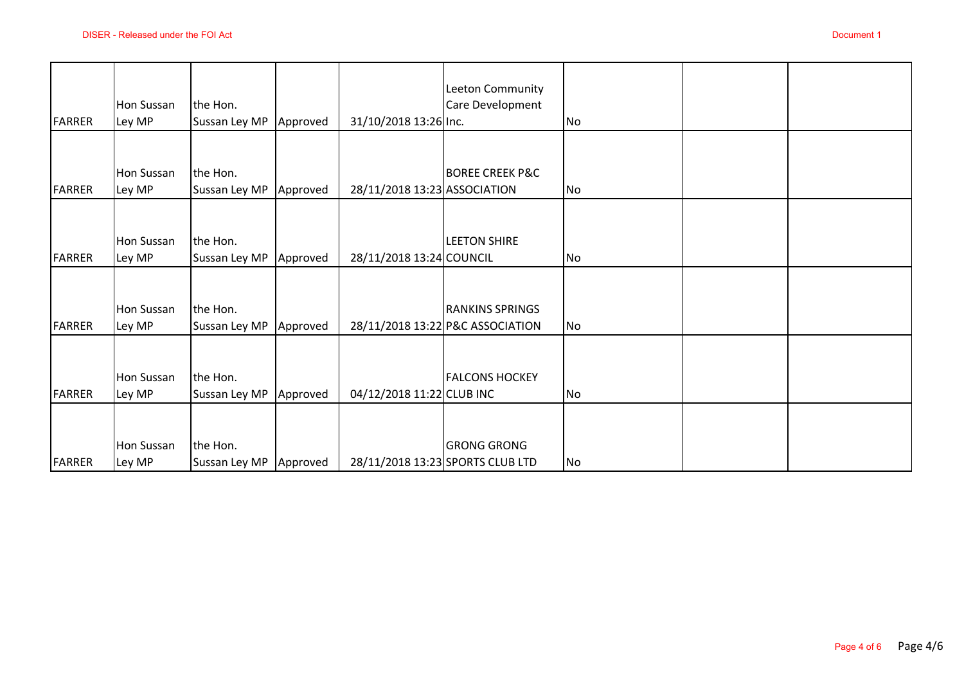|               |                             |                                      |          |                              |                                                            |    | Document 1 |
|---------------|-----------------------------|--------------------------------------|----------|------------------------------|------------------------------------------------------------|----|------------|
| <b>FARRER</b> | Hon Sussan<br>Ley MP        | the Hon.<br>Sussan Ley MP            | Approved | 31/10/2018 13:26 Inc.        | Leeton Community<br>Care Development                       | No |            |
| <b>FARRER</b> | Hon Sussan<br>Ley MP        | the Hon.<br>Sussan Ley MP            | Approved | 28/11/2018 13:23 ASSOCIATION | <b>BOREE CREEK P&amp;C</b>                                 | No |            |
| <b>FARRER</b> | Hon Sussan<br>Ley MP        | the Hon.<br>Sussan Ley MP            | Approved | 28/11/2018 13:24 COUNCIL     | <b>LEETON SHIRE</b>                                        | No |            |
| <b>FARRER</b> | Hon Sussan<br>Ley MP        | the Hon.<br>Sussan Ley MP            | Approved |                              | <b>RANKINS SPRINGS</b><br>28/11/2018 13:22 P&C ASSOCIATION | No |            |
| <b>FARRER</b> | <b>Hon Sussan</b><br>Ley MP | the Hon.<br>Sussan Ley MP            | Approved | 04/12/2018 11:22 CLUB INC    | <b>FALCONS HOCKEY</b>                                      | No |            |
| <b>FARRER</b> | <b>Hon Sussan</b><br>Ley MP | the Hon.<br>Sussan Ley MP   Approved |          |                              | <b>GRONG GRONG</b><br>28/11/2018 13:23 SPORTS CLUB LTD     | No |            |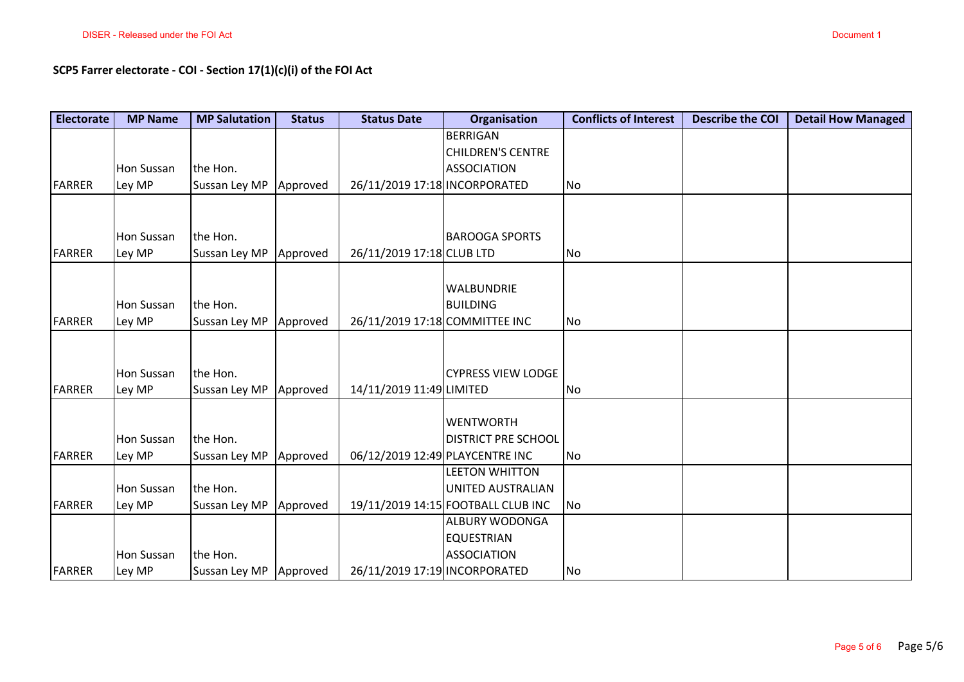| <b>Electorate</b> | <b>MP Name</b>    | <b>MP Salutation</b>   | <b>Status</b> | <b>Status Date</b>             | Organisation                                             | <b>Conflicts of Interest</b> | <b>Describe the COI</b> | <b>Detail How Managed</b> |
|-------------------|-------------------|------------------------|---------------|--------------------------------|----------------------------------------------------------|------------------------------|-------------------------|---------------------------|
|                   |                   |                        |               |                                | <b>BERRIGAN</b><br><b>CHILDREN'S CENTRE</b>              |                              |                         |                           |
|                   | <b>Hon Sussan</b> | the Hon.               |               |                                | <b>ASSOCIATION</b>                                       |                              |                         |                           |
| <b>FARRER</b>     | Ley MP            | Sussan Ley MP          | Approved      | 26/11/2019 17:18 INCORPORATED  |                                                          | No                           |                         |                           |
|                   |                   |                        |               |                                |                                                          |                              |                         |                           |
|                   | <b>Hon Sussan</b> | the Hon.               |               |                                | <b>BAROOGA SPORTS</b>                                    |                              |                         |                           |
| <b>FARRER</b>     | Ley MP            | Sussan Ley MP          | Approved      | 26/11/2019 17:18 CLUB LTD      |                                                          | No                           |                         |                           |
|                   |                   |                        |               |                                | <b>WALBUNDRIE</b>                                        |                              |                         |                           |
|                   | <b>Hon Sussan</b> | the Hon.               |               |                                | <b>BUILDING</b>                                          |                              |                         |                           |
| <b>FARRER</b>     | Ley MP            | Sussan Ley MP          | Approved      | 26/11/2019 17:18 COMMITTEE INC |                                                          | No                           |                         |                           |
|                   |                   |                        |               |                                |                                                          |                              |                         |                           |
|                   | <b>Hon Sussan</b> | the Hon.               |               |                                | <b>CYPRESS VIEW LODGE</b>                                |                              |                         |                           |
| <b>FARRER</b>     | Ley MP            | Sussan Ley MP          | Approved      | 14/11/2019 11:49 LIMITED       |                                                          | No                           |                         |                           |
|                   |                   |                        |               |                                |                                                          |                              |                         |                           |
|                   |                   |                        |               |                                | <b>WENTWORTH</b>                                         |                              |                         |                           |
|                   | <b>Hon Sussan</b> | the Hon.               |               |                                | <b>DISTRICT PRE SCHOOL</b>                               |                              |                         |                           |
| <b>FARRER</b>     | Ley MP            | Sussan Ley MP          | Approved      |                                | 06/12/2019 12:49 PLAYCENTRE INC<br><b>LEETON WHITTON</b> | No                           |                         |                           |
|                   | <b>Hon Sussan</b> | the Hon.               |               |                                | UNITED AUSTRALIAN                                        |                              |                         |                           |
| <b>FARRER</b>     | Ley MP            | Sussan Ley MP          | Approved      |                                | 19/11/2019 14:15 FOOTBALL CLUB INC                       | <b>No</b>                    |                         |                           |
|                   |                   |                        |               |                                | <b>ALBURY WODONGA</b>                                    |                              |                         |                           |
|                   |                   |                        |               |                                | <b>EQUESTRIAN</b>                                        |                              |                         |                           |
|                   | <b>Hon Sussan</b> | the Hon.               |               |                                | ASSOCIATION                                              |                              |                         |                           |
| <b>FARRER</b>     | Ley MP            | Sussan Ley MP Approved |               | 26/11/2019 17:19 INCORPORATED  |                                                          | No                           |                         |                           |